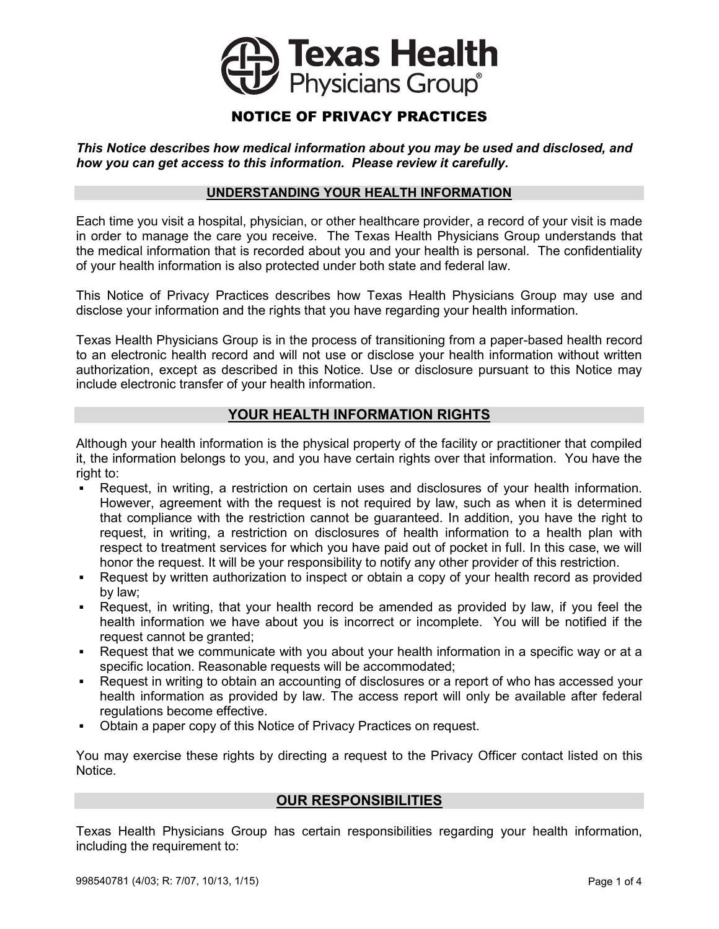

# NOTICE OF PRIVACY PRACTICES

*This Notice describes how medical information about you may be used and disclosed, and*  how you can get access to this information. Please review it carefully.

#### **UNDERSTANDING YOUR HEALTH INFORMATION** información acerca de su salud, incluso la obligación de: <u>UNDERSTANDING YOUR HEALTH INF</u>O

Each time you visit a hospital, physician, or other healthcare provider, a record of your visit is made in order to manage the care you receive. The Texas Health Physicians Group understands that the medical information that is recorded about you and your health is personal. The confidentiality of your health information is also protected under both state and federal law. proporcionarle este Aviso que describe las responsabilidades legales de Texas Health n time you visit a nospital, priysician, or other nealtricare provider, a record or your visit is made

This Notice of Privacy Practices describes how Texas Health Physicians Group may use and disclose your information and the rights that you have regarding your health information. por ley, y pueden disponer de ellos, como permitido por ley.

Texas Health Physicians Group is in the process of transitioning from a paper-based health record to an electronic health record and will not use or disclose your health information without written authorization, except as described in this Notice. Use or disclosure pursuant to this Notice may include electronic transfer of your health information. privacidad de la información y realizar cambios aplicables a cualquier información de salud que Texas Health Physicians Group is in the process of transitioning from a paper-based health record

#### **YOUR HEALTH INFORMATION RIGHTS Utilizaciones y divulgaciones de la información de salud sin autorización**

Although your health information is the physical property of the facility or practitioner that compiled it, the information belongs to you, and you have certain rights over that information. You have the right to: Cuando usted obtiene los servicios de cualquier consultorio del Texas Health Physicians Group, Although your health information is the physical property of the facility or practitioner that compiled entidad y de otros proveedores involucrados. Las siguientes categorías describen las maneras en

- Request, in writing, a restriction on certain uses and disclosures of your health information. However, agreement with the request is not required by law, such as when it is determined that compliance with the restriction cannot be guaranteed. In addition, you have the right to request, in writing, a restriction on disclosures of health information to a health plan with respect to treatment services for which you have paid out of pocket in full. In this case, we will honor the request. It will be your responsibility to notify any other provider of this restriction. Request, in writing, a restriction on certain uses and disclosures of your nealth information.
- **Por Request by written authorization to inspect or obtain a copy of your health record as provided** by law; enfermeras, residentes médicos, residentes médicos, residentes médicos unha cuidad de superior de su otros que<br>El cuidad de su otros que estén involucrados en el cuidad o de su otros de su otros de su otros de su otros de
- Request, in writing, that your health record be amended as provided by law, if you feel the health information we have about you is incorrect or incomplete. You will be notified if the request cannot be granted; salud en los consultorios de la Texas Health Physician en los consultorios de la Texas información en la Texas en su atención. La información. La información puede ser compartida compartida con farmacias, laboratorios o c
- Request that we communicate with you about your health information in a specific way or at a specific location. Reasonable requests will be accommodated; **•** Request that we communicate with you about your he
- **Request in writing to obtain an accounting of disclosures or a report of who has accessed your** health information as provided by law. The access report will only be available after federal regulations become effective. propulations become effective.<br>La información de seguros de seguros o a una compañía de seguros o a un tercero. La información de seguros o a
- Obtain a paper copy of this Notice of Privacy Practices on request. • Obtain a paper copy of this Notice of Privacy Practices on request.

You may exercise these rights by directing a request to the Privacy Officer contact listed on this Notice. de obtener una aprobación previa o para determinar si su plan de salud cubrirá el tratamiento. **La información acerca de su salud se utilizará para las acerca de su salud se utilizará para las acciones relativas a la atención de su servizará para las acercas en las atencións de las atencións de la atención de la ate** 

# **OUR RESPONSIBILITIES**  *Por ejemplo:* La información en su registro de salud puede ser utilizada para evaluar y mejorar la

Texas Health Physicians Group has certain responsibilities regarding your health information, en tanto participan de programas continuos de programas continuos de residencia, internados, capacitación y educación. En el estado y en tanto participan de residencia, internados, capacitación. En el estado y el estado y Texas Health Physicians Group has certain responsibilities regarding your health information,

**médica.**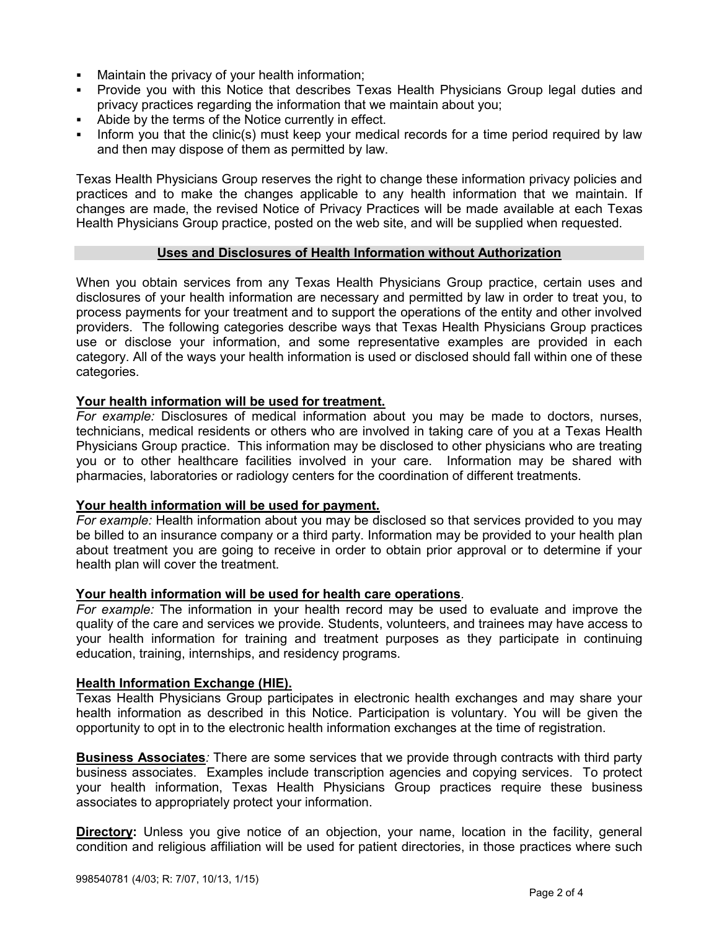- Maintain the privacy of your health information;
- Provide you with this Notice that describes Texas Health Physicians Group legal duties and privacy practices regarding the information that we maintain about you;
- Abide by the terms of the Notice currently in effect.
- **Inform you that the clinic(s) must keep your medical records for a time period required by law** and then may dispose of them as permitted by law.

Texas Health Physicians Group reserves the right to change these information privacy policies and practices and to make the changes applicable to any health information that we maintain. If changes are made, the revised Notice of Privacy Practices will be made available at each Texas Health Physicians Group practice, posted on the web site, and will be supplied when requested. Texas Health Physicians Group reserves the right to cha

#### **Uses and Disclosures of Health Information without Authorization** acerca de usted;

When you obtain services from any Texas Health Physicians Group practice, certain uses and disclosures of your health information are necessary and permitted by law in order to treat you, to process payments for your treatment and to support the operations of the entity and other involved providers. The following categories describe ways that Texas Health Physicians Group practices use or disclose your information, and some representative examples are provided in each category. All of the ways your health information is used or disclosed should fall within one of these categories. **Publicará en el sitio web, y se proporcionará a pedido.** 

# <u>Your health information will be used for treatment.</u>

*For example:* Disclosures of medical information about you may be made to doctors, nurses, technicians, medical residents or others who are involved in taking care of you at a Texas Health Physicians Group practice. This information may be disclosed to other physicians who are treating you or to other healthcare facilities involved in your care. Information may be shared with pharmacies, laboratories or radiology centers for the coordination of different treatments.

# <u>Your health information will be used for payment.</u>

For example: Health information about you may be disclosed so that services provided to you may be billed to an insurance company or a third party. Information may be provided to your health plan about treatment you are going to receive in order to obtain prior approval or to determine if your health plan will cover the treatment.

### Your health information will be used for health care operations.

For example: The information in your health record may be used to evaluate and improve the quality of the care and services we provide. Students, volunteers, and trainees may have access to your health information for training and treatment purposes as they participate in continuing education, training, internships, and residency programs.

### <u>Health Information Exchange (HIE).</u>

Texas Health Physicians Group participates in electronic health exchanges and may share your health information as described in this Notice. Participation is voluntary. You will be given the opportunity to opt in to the electronic health information exchanges at the time of registration.

**Business Associates***:* There are some services that we provide through contracts with third party business associates. Examples include transcription agencies and copying services. To protect your health information, Texas Health Physicians Group practices require these business **médica.** associates to appropriately protect your information.

**Directory:** Unless you give notice of an objection, your name, location in the facility, general condition and religious affiliation will be used for patient directories, in those practices where such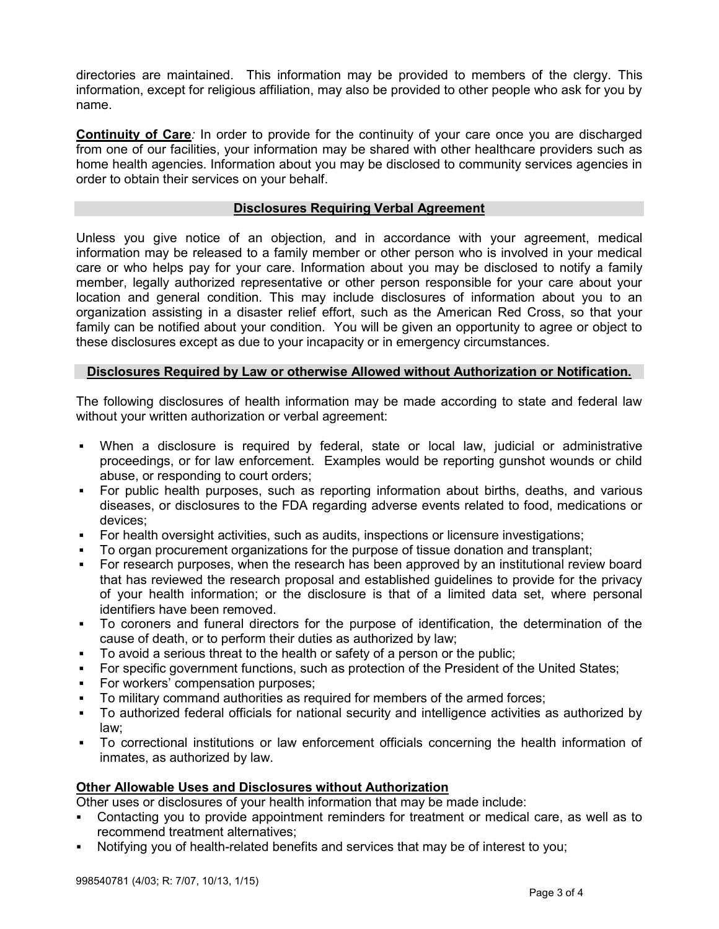directories are maintained. This information may be provided to members of the clergy. This information, except for religious affiliation, may also be provided to other people who ask for you by<br>name. name.

**Continuity of Care**: In order to provide for the continuity of your care once you are discharged from one of our facilities, your information may be shared with other healthcare providers such as home health agencies. Information about you may be disclosed to community services agencies in order to obtain their services on your behalf.

#### <u>Disclosures Requiring Verbal Agreement describe las responsabilidades legales de Texas Health este Aviso que d</u> mantener la privacidad de la información acerca de su salud;

Unless you give notice of an objection, and in accordance with your agreement, medical information may be released to a family member or other person who is involved in your medical care or who helps pay for your care. Information about you may be disclosed to notify a family member, legally authorized representative or other person responsible for your care about your location and general condition. This may include disclosures of information about you to an organization assisting in a disaster relief effort, such as the American Red Cross, so that your family can be notified about your condition. You will be given an opportunity to agree or object to these disclosures except as due to your incapacity or in emergency circumstances.

#### **Disclosures Required by Law or otherwise Allowed without Authorization or Notification.** encontrará disponible en el consultorio de cada profesional de Texas Health Physicians Group, se

The following disclosures of health information may be made according to state and federal law without your written authorization or verbal agreement:

- When a disclosure is required by federal, state or local law, judicial or administrative proceedings, or for law enforcement. Examples would be reporting gunshot wounds or child abuse, or responding to court orders; entitled was signified as a maneral categorias describen las maneras entit • When a disclosure is required by federal, state or local law, judicial or administrative
- For public health purposes, such as reporting information about births, deaths, and various diseases, or disclosures to the FDA regarding adverse events related to food, medications or devices; maneras en las información acerca de su salud se utiliza y divulga de su salud se utiliza y divulga de su salu
- For health oversight activities, such as audits, inspections or licensure investigations;
- To organ procurement organizations for the purpose of tissue donation and transplant;
- **-** For research purposes, when the research has been approved by an institutional review board that has reviewed the research proposal and established guidelines to provide for the privacy of your health information; or the disclosure is that of a limited data set, where personal identifiers have been removed. **En los consultorios del Texas Health Physicians Group**. Esta información puede di
- To coroners and funeral directors for the purpose of identification, the determination of the cause of death, or to perform their duties as authorized by law;
- To avoid a serious threat to the health or safety of a person or the public;
- For specific government functions, such as protection of the President of the United States;
- **For workers' compensation purposes;**
- **Fact Formal informand authorities as required for members of the armed forces;**
- To authorized federal officials for national security and intelligence activities as authorized by law;  $a$ ca del tratamiento que usted va a recibir puede ser proporcionada a su plan de salud con el final de salud con el final de salud con el final de salud con el final de salud con el final de salud con el final de salud c
- To correctional institutions or law enforcement officials concerning the health information of inmates, as authorized by law. • To correctional institutions or law enforcement officials concerning the health informatio

# **Other Allowable Uses and Disclosures without Authorization médica.**

Other uses or disclosures of your health information that may be made include:

- Contacting you to provide appointment reminders for treatment or medical care, as well as to recommend treatment alternatives; entener acerca de su salud para fines de capacitación y tratamiento, entener
- Notifying you of health-related benefits and services that may be of interest to you;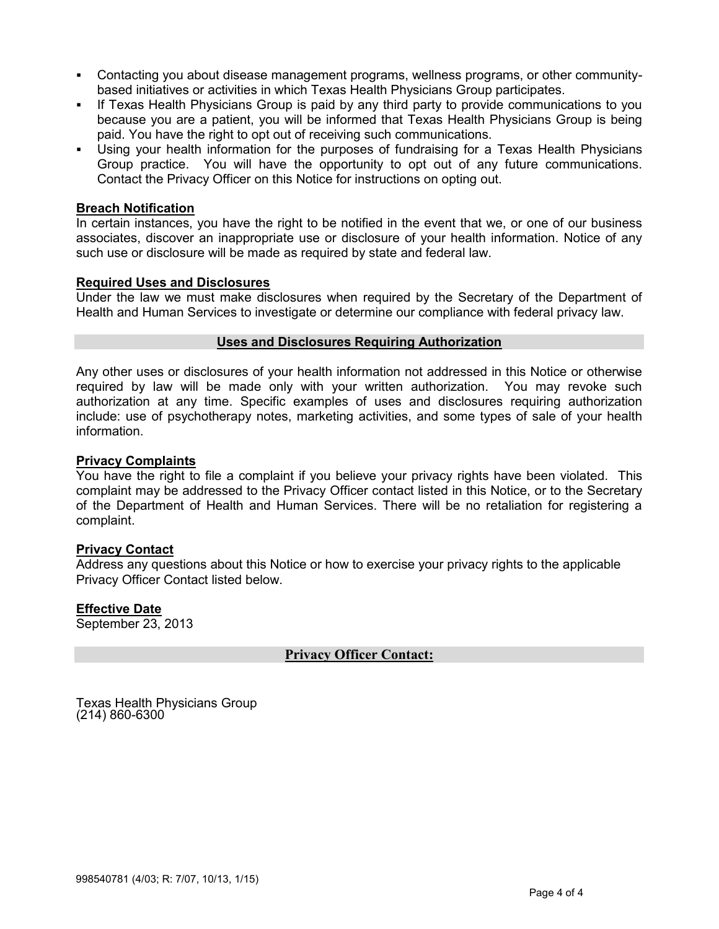- Contacting you about disease management programs, wellness programs, or other communitybased initiatives or activities in which Texas Health Physicians Group participates.
- If Texas Health Physicians Group is paid by any third party to provide communications to you because you are a patient, you will be informed that Texas Health Physicians Group is being paid. You have the right to opt out of receiving such communications.
- Using your health information for the purposes of fundraising for a Texas Health Physicians Group practice. You will have the opportunity to opt out of any future communications. Contact the Privacy Officer on this Notice for instructions on opting out.

# **Breach Notification and aviso que describe las responsabilidades legales de Texas Health este Aviso que destru**

In certain instances, you have the right to be notified in the event that we, or one of our business associates, discover an inappropriate use or disclosure of your health information. Notice of any such use or disclosure will be made as required by state and federal law.

# **Required Uses and Disclosures**

Under the law we must make disclosures when required by the Secretary of the Department of Health and Human Services to investigate or determine our compliance with federal privacy law.

#### **Uses and Disclosures Requiring Authorization de realizarse modificaciones, un Aviso de prácticas de realizarse** privacidad de la información y realizar cambios aplicables a cualquier información de salud que

Any other uses or disclosures of your health information not addressed in this Notice or otherwise required by law will be made only with your written authorization. You may revoke such authorization at any time. Specific examples of uses and disclosures requiring authorization include: use of psychotherapy notes, marketing activities, and some types of sale of your health information. cuando usted obtiene los servicios de cualquier consultorio de cualquier consultorio de cualquier consultorio <br>Altre estableces Health Physicians Group, estableces Health Physicians Group, estableces Health Physicians Gro

# **Privacy Complaints** para poder tratarlo, para procesar los pagos de su tratamiento y para apoyar las operaciones de la

You have the right to file a complaint if you believe your privacy rights have been violated. This complaint may be addressed to the Privacy Officer contact listed in this Notice, or to the Secretary of the Department of Health and Human Services. There will be no retaliation for registering a complaint. maneras en las informacións en las informacións acerca de su salud se utiliza y divulga de su salud se utiliza

### **Privacy Contact**

Address any questions about this Notice or how to exercise your privacy rights to the applicable Privacy Officer Contact listed below. **La divide:** La divulgación de su información médica podría ser compartida con doctores, en el ser compartida con doctores, en el ser con doctores, en el ser compartida con doctores, e

### **Effective Date información en los consultorios de Texas Health Physicians Group. Esta información puede divulgarse**

September 23, 2013 **otros médicos que le proporcionan tratamiento o a otros centros centros centros de atención médica involucrados de atención médica involucrados de atención médica involucrados de atención médica involuc** 

#### **Privacy Officer Contact: Privacy Officer Contact:** en su atención. La información puede ser compartida con farmacias, laboratorios o centros de

**Portes and Physicians Group acerca de su salud puede divulgarse para que servicios que servicios que servicios que servicios que servicios que servicios que servicios que servicios que servicios que servicios que servicio**  $(214)$  860-6300  $\sim$  proporcional ser facturados a una compañía de seguros o a una compañía de seguros o a una compañía de seguros o a una compañía de seguros o a una compañía de seguros o a un tercero. La información de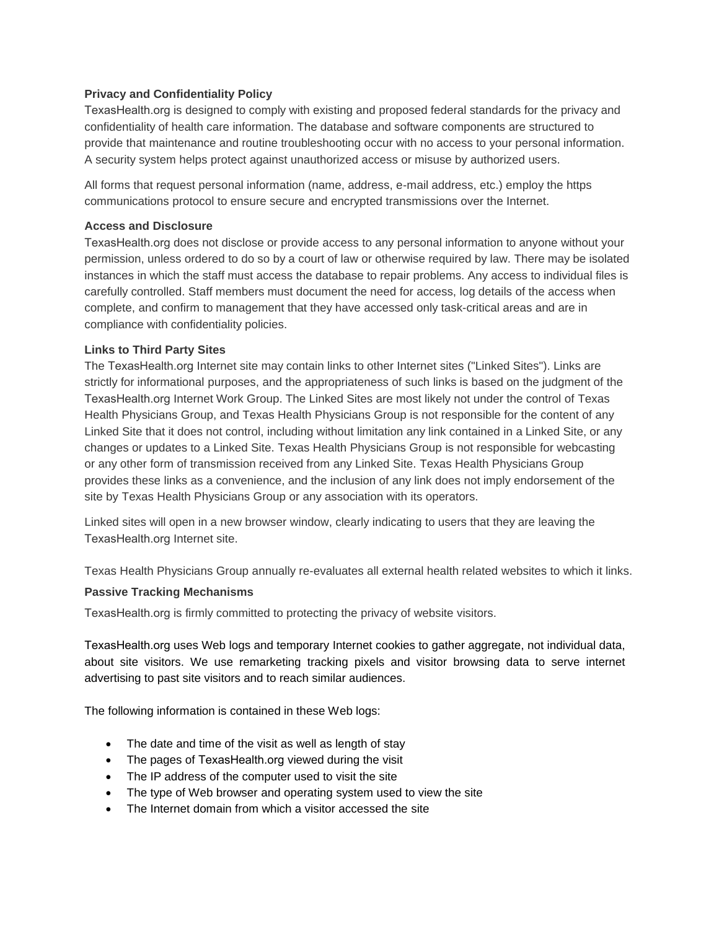### **Privacy and Confidentiality Policy**

TexasHealth.org is designed to comply with existing and proposed federal standards for the privacy and confidentiality of health care information. The database and software components are structured to provide that maintenance and routine troubleshooting occur with no access to your personal information. A security system helps protect against unauthorized access or misuse by authorized users.

All forms that request personal information (name, address, e-mail address, etc.) employ the https communications protocol to ensure secure and encrypted transmissions over the Internet.

### **Access and Disclosure**

TexasHealth.org does not disclose or provide access to any personal information to anyone without your permission, unless ordered to do so by a court of law or otherwise required by law. There may be isolated instances in which the staff must access the database to repair problems. Any access to individual files is carefully controlled. Staff members must document the need for access, log details of the access when complete, and confirm to management that they have accessed only task-critical areas and are in compliance with confidentiality policies.

### **Links to Third Party Sites**

The TexasHealth.org Internet site may contain links to other Internet sites ("Linked Sites"). Links are strictly for informational purposes, and the appropriateness of such links is based on the judgment of the TexasHealth.org Internet Work Group. The Linked Sites are most likely not under the control of Texas Health Physicians Group, and Texas Health Physicians Group is not responsible for the content of any Linked Site that it does not control, including without limitation any link contained in a Linked Site, or any changes or updates to a Linked Site. Texas Health Physicians Group is not responsible for webcasting or any other form of transmission received from any Linked Site. Texas Health Physicians Group provides these links as a convenience, and the inclusion of any link does not imply endorsement of the site by Texas Health Physicians Group or any association with its operators.

Linked sites will open in a new browser window, clearly indicating to users that they are leaving the TexasHealth.org Internet site.

Texas Health Physicians Group annually re-evaluates all external health related websites to which it links.

### **Passive Tracking Mechanisms**

TexasHealth.org is firmly committed to protecting the privacy of website visitors.

TexasHealth.org uses Web logs and temporary Internet cookies to gather aggregate, not individual data, about site visitors. We use remarketing tracking pixels and visitor browsing data to serve internet advertising to past site visitors and to reach similar audiences.

The following information is contained in these Web logs:

- The date and time of the visit as well as length of stay
- The pages of TexasHealth.org viewed during the visit
- The IP address of the computer used to visit the site
- The type of Web browser and operating system used to view the site
- The Internet domain from which a visitor accessed the site